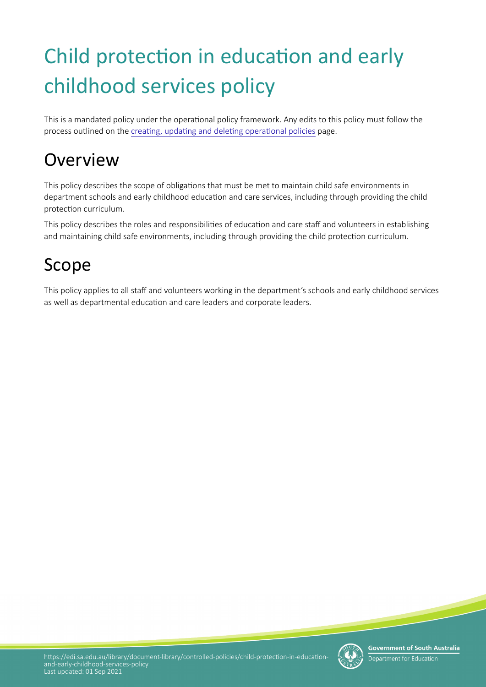# Child protection in education and early childhood services policy

This is a mandated policy under the operational policy framework. Any edits to this policy must follow the process outlined on the creating, updating and deleting operational policies page.

# **Overview**

This policy describes the scope of obligations that must be met to maintain child safe environments in department schools and early childhood education and care services, including through providing the child protection curriculum.

This policy describes the roles and responsibilities of education and care staff and volunteers in establishing and maintaining child safe environments, including through providing the child protection curriculum.

## Scope

This policy applies to all staff and volunteers working in the department's schools and early childhood services as well as departmental education and care leaders and corporate leaders.

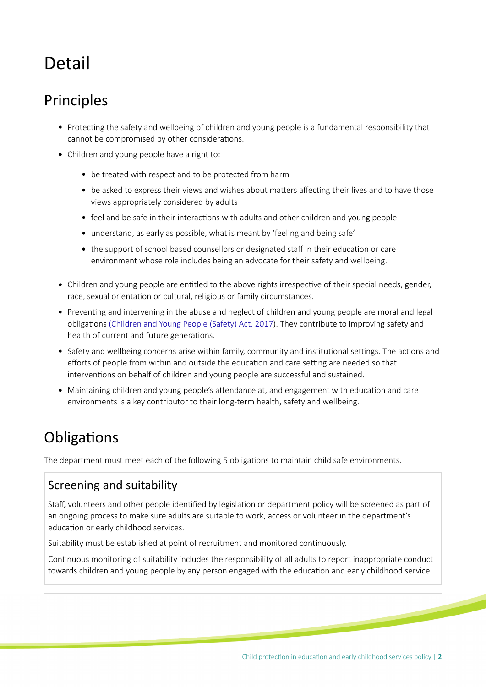# Detail

### Principles

- Protecting the safety and wellbeing of children and young people is a fundamental responsibility that cannot be compromised by other considerations.
- Children and young people have a right to:
	- be treated with respect and to be protected from harm
	- be asked to express their views and wishes about matters affecting their lives and to have those views appropriately considered by adults
	- feel and be safe in their interactions with adults and other children and young people
	- understand, as early as possible, what is meant by 'feeling and being safe'
	- the support of school based counsellors or designated staff in their education or care environment whose role includes being an advocate for their safety and wellbeing.
- Children and young people are entitled to the above rights irrespective of their special needs, gender, race, sexual orientation or cultural, religious or family circumstances.
- Preventing and intervening in the abuse and neglect of children and young people are moral and legal obligations [\(Children and Young People \(Safety\) Act, 2017\)](https://www.legislation.sa.gov.au/LZ/C/A/Children%20and%20Young%20People%20(Safety)%20Act%202017.aspx). They contribute to improving safety and health of current and future generations.
- Safety and wellbeing concerns arise within family, community and institutional settings. The actions and efforts of people from within and outside the education and care setting are needed so that interventions on behalf of children and young people are successful and sustained.
- Maintaining children and young people's attendance at, and engagement with education and care environments is a key contributor to their long-term health, safety and wellbeing.

### Obligations

The department must meet each of the following 5 obligations to maintain child safe environments.

#### Screening and suitability

Staff, volunteers and other people identified by legislation or department policy will be screened as part of an ongoing process to make sure adults are suitable to work, access or volunteer in the department's education or early childhood services.

Suitability must be established at point of recruitment and monitored contnuously.

Contnuous monitoring of suitability includes the responsibility of all adults to report inappropriate conduct towards children and young people by any person engaged with the education and early childhood service.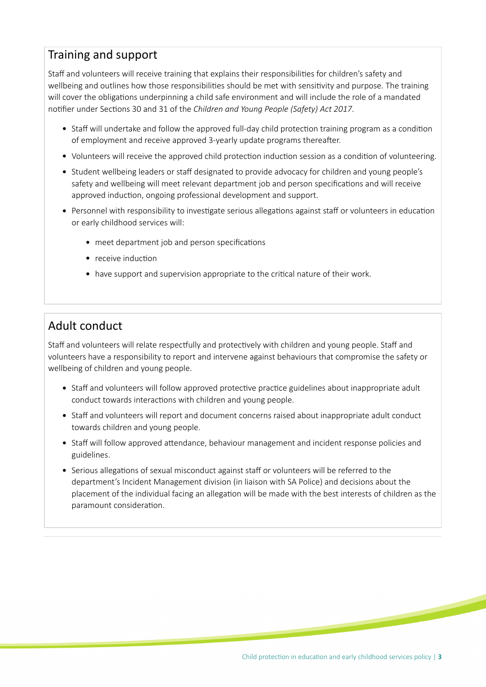#### Training and support

Staff and volunteers will receive training that explains their responsibilities for children's safety and wellbeing and outlines how those responsibilities should be met with sensitivity and purpose. The training will cover the obligations underpinning a child safe environment and will include the role of a mandated notifier under Sections 30 and 31 of the *Children and Young People (Safety) Act 2017*.

- Staff will undertake and follow the approved full-day child protection training program as a condition of employment and receive approved 3-yearly update programs thereafer.
- Volunteers will receive the approved child protection induction session as a condition of volunteering.
- Student wellbeing leaders or staff designated to provide advocacy for children and young people's safety and wellbeing will meet relevant department job and person specifications and will receive approved induction, ongoing professional development and support.
- Personnel with responsibility to investigate serious allegations against staff or volunteers in education or early childhood services will:
	- meet department job and person specifications
	- $\bullet$  receive induction
	- have support and supervision appropriate to the critical nature of their work.

#### Adult conduct

Staff and volunteers will relate respectfully and protectively with children and young people. Staff and volunteers have a responsibility to report and intervene against behaviours that compromise the safety or wellbeing of children and young people.

- Staff and volunteers will follow approved protective practice guidelines about inappropriate adult conduct towards interactions with children and young people.
- Staff and volunteers will report and document concerns raised about inappropriate adult conduct towards children and young people.
- Staff will follow approved attendance, behaviour management and incident response policies and guidelines.
- Serious allegations of sexual misconduct against staff or volunteers will be referred to the department's Incident Management division (in liaison with SA Police) and decisions about the placement of the individual facing an allegaton will be made with the best interests of children as the paramount consideration.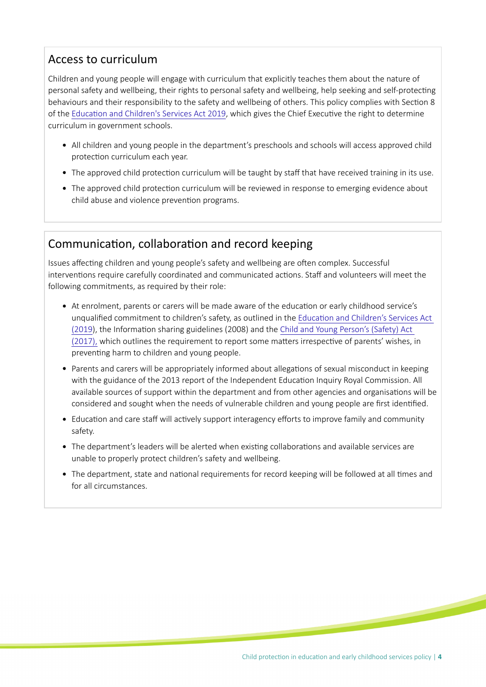#### Access to curriculum

Children and young people will engage with curriculum that explicitly teaches them about the nature of personal safety and wellbeing, their rights to personal safety and wellbeing, help seeking and self-protecting behaviours and their responsibility to the safety and wellbeing of others. This policy complies with Section 8 of the Education and Children's Services Act 2019, which gives the Chief Executive the right to determine curriculum in government schools.

- All children and young people in the department's preschools and schools will access approved child protection curriculum each year.
- The approved child protection curriculum will be taught by staff that have received training in its use.
- The approved child protection curriculum will be reviewed in response to emerging evidence about child abuse and violence prevention programs.

#### Communication, collaboration and record keeping

Issues affecting children and young people's safety and wellbeing are often complex. Successful interventions require carefully coordinated and communicated actions. Staff and volunteers will meet the following commitments, as required by their role:

- At enrolment, parents or carers will be made aware of the educaton or early childhood service's unqualifed commitment to children's safety, as outlined in the [Educaton and Children's Services Act](https://www.legislation.sa.gov.au/LZ/C/A/EDUCATION%20AND%20CHILDRENS%20SERVICES%20ACT%202019.aspx)  [\(2019](https://www.legislation.sa.gov.au/LZ/C/A/EDUCATION%20AND%20CHILDRENS%20SERVICES%20ACT%202019.aspx)), the Informaton sharing guidelines (2008) and the [Child and Young Person's \(Safety\) Act](https://www.legislation.sa.gov.au/LZ/C/A/Children%20and%20Young%20People%20(Safety)%20Act%202017.aspx)  [\(2017\),](https://www.legislation.sa.gov.au/LZ/C/A/Children%20and%20Young%20People%20(Safety)%20Act%202017.aspx) which outlines the requirement to report some matters irrespective of parents' wishes, in preventing harm to children and young people.
- Parents and carers will be appropriately informed about allegatons of sexual misconduct in keeping with the guidance of the 2013 report of the Independent Education Inquiry Royal Commission. All available sources of support within the department and from other agencies and organisations will be considered and sought when the needs of vulnerable children and young people are first identified.
- Education and care staff will actively support interagency efforts to improve family and community safety.
- The department's leaders will be alerted when existng collaboratons and available services are unable to properly protect children's safety and wellbeing.
- The department, state and national requirements for record keeping will be followed at all times and for all circumstances.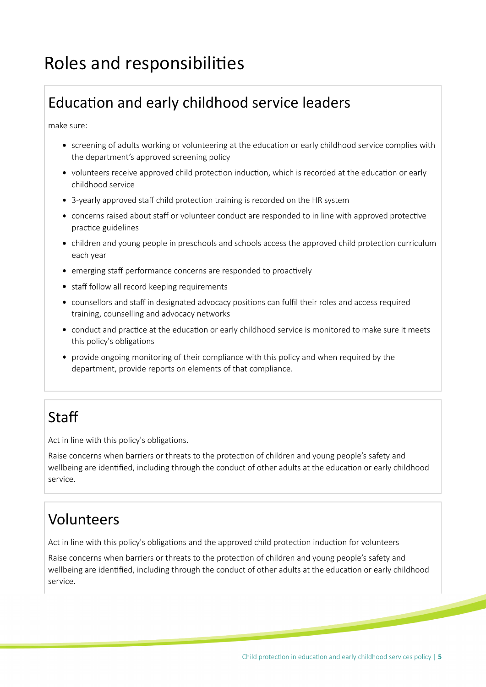# Roles and responsibilites

### Education and early childhood service leaders

make sure:

- screening of adults working or volunteering at the education or early childhood service complies with the department's approved screening policy
- volunteers receive approved child protection induction, which is recorded at the education or early childhood service
- 3-yearly approved staff child protection training is recorded on the HR system
- concerns raised about staff or volunteer conduct are responded to in line with approved protective practice guidelines
- children and young people in preschools and schools access the approved child protection curriculum each year
- emerging staff performance concerns are responded to proactively
- staff follow all record keeping requirements
- counsellors and staff in designated advocacy positions can fulfil their roles and access required training, counselling and advocacy networks
- conduct and practice at the education or early childhood service is monitored to make sure it meets this policy's obligations
- provide ongoing monitoring of their compliance with this policy and when required by the department, provide reports on elements of that compliance.

### **Staff**

Act in line with this policy's obligations.

Raise concerns when barriers or threats to the protection of children and young people's safety and wellbeing are identified, including through the conduct of other adults at the education or early childhood service.

#### Volunteers

Act in line with this policy's obligations and the approved child protection induction for volunteers

Raise concerns when barriers or threats to the protection of children and young people's safety and wellbeing are identified, including through the conduct of other adults at the education or early childhood service.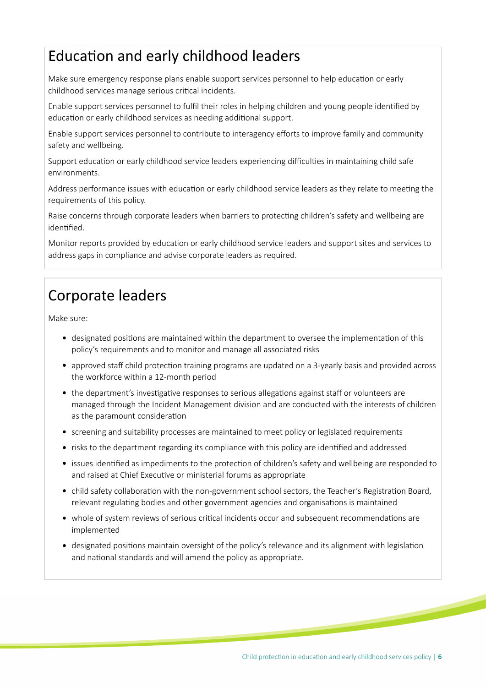### Education and early childhood leaders

Make sure emergency response plans enable support services personnel to help education or early childhood services manage serious critical incidents.

Enable support services personnel to fulfil their roles in helping children and young people identified by education or early childhood services as needing additional support.

Enable support services personnel to contribute to interagency eforts to improve family and community safety and wellbeing.

Support education or early childhood service leaders experiencing difficulties in maintaining child safe environments.

Address performance issues with education or early childhood service leaders as they relate to meeting the requirements of this policy.

Raise concerns through corporate leaders when barriers to protecting children's safety and wellbeing are identified.

Monitor reports provided by education or early childhood service leaders and support sites and services to address gaps in compliance and advise corporate leaders as required.

### Corporate leaders

Make sure:

- designated positons are maintained within the department to oversee the implementaton of this policy's requirements and to monitor and manage all associated risks
- approved staff child protection training programs are updated on a 3-yearly basis and provided across the workforce within a 12-month period
- the department's investigative responses to serious allegations against staff or volunteers are managed through the Incident Management division and are conducted with the interests of children as the paramount consideration
- screening and suitability processes are maintained to meet policy or legislated requirements
- risks to the department regarding its compliance with this policy are identified and addressed
- issues identified as impediments to the protection of children's safety and wellbeing are responded to and raised at Chief Executive or ministerial forums as appropriate
- child safety collaboration with the non-government school sectors, the Teacher's Registration Board, relevant regulating bodies and other government agencies and organisations is maintained
- whole of system reviews of serious critical incidents occur and subsequent recommendations are implemented
- designated positons maintain oversight of the policy's relevance and its alignment with legislaton and national standards and will amend the policy as appropriate.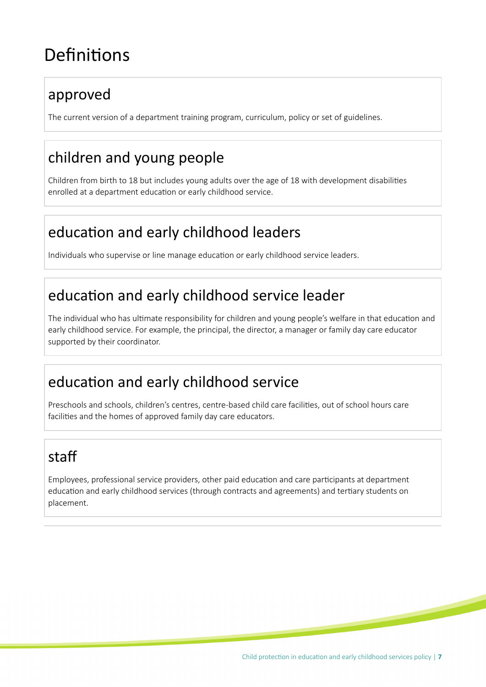## Definitions

### approved

The current version of a department training program, curriculum, policy or set of guidelines.

### children and young people

Children from birth to 18 but includes young adults over the age of 18 with development disabilites enrolled at a department education or early childhood service.

### education and early childhood leaders

Individuals who supervise or line manage educaton or early childhood service leaders.

### education and early childhood service leader

The individual who has ultmate responsibility for children and young people's welfare in that educaton and early childhood service. For example, the principal, the director, a manager or family day care educator supported by their coordinator.

### education and early childhood service

Preschools and schools, children's centres, centre-based child care facilities, out of school hours care facilites and the homes of approved family day care educators.

### staf

Employees, professional service providers, other paid educaton and care partcipants at department education and early childhood services (through contracts and agreements) and tertiary students on placement.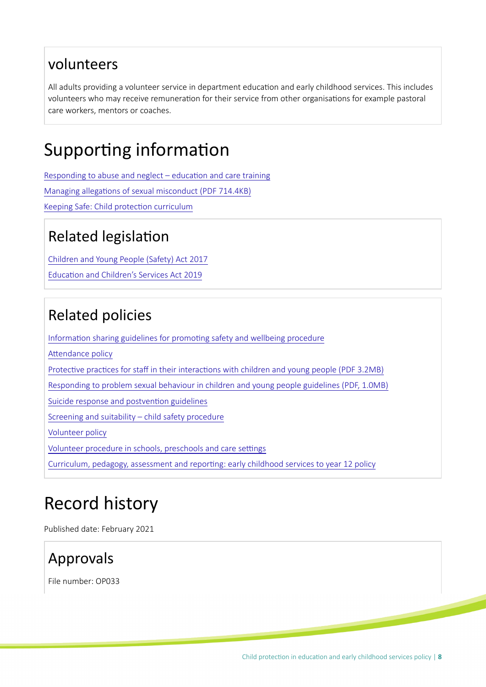#### volunteers

All adults providing a volunteer service in department education and early childhood services. This includes volunteers who may receive remuneration for their service from other organisations for example pastoral care workers, mentors or coaches.

### Supporting information

Responding to abuse and neglect  $-$  education and care training Managing allegations of sexual misconduct (PDF 714.4KB) Keeping Safe: Child protection curriculum

### Related legislation

[Children and Young People \(Safety\) Act 2017](https://www.legislation.sa.gov.au/LZ/C/A/CHILDREN%20AND%20YOUNG%20PEOPLE%20(SAFETY)%20ACT%202017.aspx) Education and Children's Services Act 2019

### Related policies

Information sharing guidelines for promoting safety and wellbeing procedure

Attendance policy

Protective practices for staff in their interactions with children and young people (PDF 3.2MB)

[Responding to problem sexual behaviour in children and young people guidelines \(PDF, 1.0MB\)](https://www.education.sa.gov.au/sites/default/files/responding_to_problem_sexual_behaviour_in_children_and_young_people.pdf?acsf_files_redirect)

Suicide response and postvention guidelines

[Screening and suitability – child safety procedure](https://edi.sa.edu.au/library/document-library/controlled-procedures/screening-and-suitability-child-safety-procedure)

[Volunteer policy](https://edi.sa.edu.au/library/document-library/controlled-policies/volunteer-policy)

Volunteer procedure in schools, preschools and care settings

[Curriculum, pedagogy, assessment and reportng: early childhood services to year 12 policy](https://edi.sa.edu.au/library/document-library/controlled-policies/curriculum,-pedagogy,-assessment-and-reporting-early-childhood-services-to-year-12-policy)

# Record history

Published date: February 2021

### Approvals

File number: OP033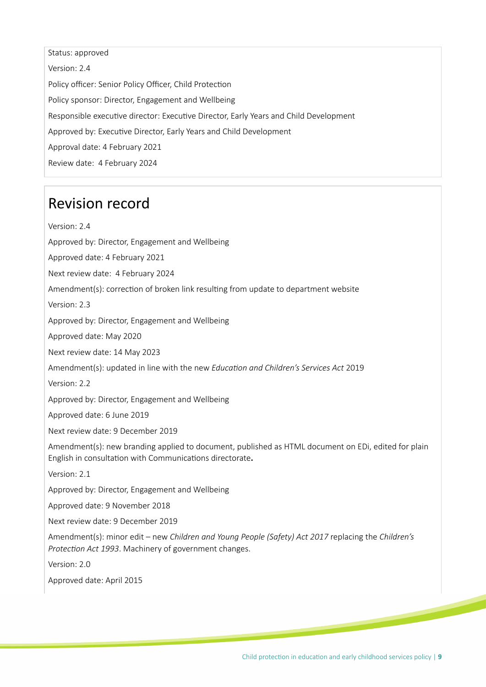Status: approved Version: 2.4 Policy officer: Senior Policy Officer, Child Protection Policy sponsor: Director, Engagement and Wellbeing Responsible executve director: Executve Director, Early Years and Child Development Approved by: Executive Director, Early Years and Child Development Approval date: 4 February 2021 Review date: 4 February 2024

#### Revision record

Version: 2.4

Approved by: Director, Engagement and Wellbeing

Approved date: 4 February 2021

Next review date: 4 February 2024

Amendment(s): correction of broken link resulting from update to department website

Version: 2.3

Approved by: Director, Engagement and Wellbeing

Approved date: May 2020

Next review date: 14 May 2023

Amendment(s): updated in line with the new *Educaton and Children's Services Act* 2019

Version: 2.2

Approved by: Director, Engagement and Wellbeing

Approved date: 6 June 2019

Next review date: 9 December 2019

Amendment(s): new branding applied to document, published as HTML document on EDi, edited for plain English in consultation with Communications directorate.

Version: 2.1

Approved by: Director, Engagement and Wellbeing

Approved date: 9 November 2018

Next review date: 9 December 2019

Amendment(s): minor edit – new *Children and Young People (Safety) Act 2017* replacing the *Children's Protecton Act 1993*. Machinery of government changes.

Version: 2.0

Approved date: April 2015